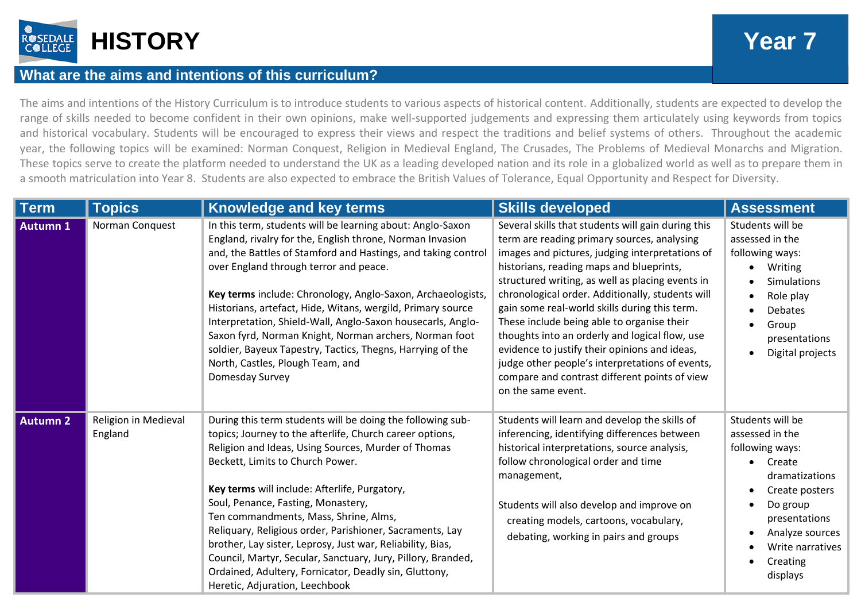

## **What are the aims and intentions of this curriculum?**

The aims and intentions of the History Curriculum is to introduce students to various aspects of historical content. Additionally, students are expected to develop the range of skills needed to become confident in their own opinions, make well-supported judgements and expressing them articulately using keywords from topics and historical vocabulary. Students will be encouraged to express their views and respect the traditions and belief systems of others. Throughout the academic year, the following topics will be examined: Norman Conquest, Religion in Medieval England, The Crusades, The Problems of Medieval Monarchs and Migration. These topics serve to create the platform needed to understand the UK as a leading developed nation and its role in a globalized world as well as to prepare them in a smooth matriculation into Year 8. Students are also expected to embrace the British Values of Tolerance, Equal Opportunity and Respect for Diversity.

| <b>Term</b>     | <b>Topics</b>                   | <b>Knowledge and key terms</b>                                                                                                                                                                                                                                                                                                                                                                                                                                                                                                                                                                                                         | <b>Skills developed</b>                                                                                                                                                                                                                                                                                                                                                                                                                                                                                                                                                                                                              | <b>Assessment</b>                                                                                                                                                                                |
|-----------------|---------------------------------|----------------------------------------------------------------------------------------------------------------------------------------------------------------------------------------------------------------------------------------------------------------------------------------------------------------------------------------------------------------------------------------------------------------------------------------------------------------------------------------------------------------------------------------------------------------------------------------------------------------------------------------|--------------------------------------------------------------------------------------------------------------------------------------------------------------------------------------------------------------------------------------------------------------------------------------------------------------------------------------------------------------------------------------------------------------------------------------------------------------------------------------------------------------------------------------------------------------------------------------------------------------------------------------|--------------------------------------------------------------------------------------------------------------------------------------------------------------------------------------------------|
| <b>Autumn 1</b> | Norman Conquest                 | In this term, students will be learning about: Anglo-Saxon<br>England, rivalry for the, English throne, Norman Invasion<br>and, the Battles of Stamford and Hastings, and taking control<br>over England through terror and peace.<br>Key terms include: Chronology, Anglo-Saxon, Archaeologists,<br>Historians, artefact, Hide, Witans, wergild, Primary source<br>Interpretation, Shield-Wall, Anglo-Saxon housecarls, Anglo-<br>Saxon fyrd, Norman Knight, Norman archers, Norman foot<br>soldier, Bayeux Tapestry, Tactics, Thegns, Harrying of the<br>North, Castles, Plough Team, and<br>Domesday Survey                         | Several skills that students will gain during this<br>term are reading primary sources, analysing<br>images and pictures, judging interpretations of<br>historians, reading maps and blueprints,<br>structured writing, as well as placing events in<br>chronological order. Additionally, students will<br>gain some real-world skills during this term.<br>These include being able to organise their<br>thoughts into an orderly and logical flow, use<br>evidence to justify their opinions and ideas,<br>judge other people's interpretations of events,<br>compare and contrast different points of view<br>on the same event. | Students will be<br>assessed in the<br>following ways:<br>Writing<br><b>Simulations</b><br>Role play<br><b>Debates</b><br>Group<br>presentations<br>Digital projects                             |
| <b>Autumn 2</b> | Religion in Medieval<br>England | During this term students will be doing the following sub-<br>topics; Journey to the afterlife, Church career options,<br>Religion and Ideas, Using Sources, Murder of Thomas<br>Beckett, Limits to Church Power.<br>Key terms will include: Afterlife, Purgatory,<br>Soul, Penance, Fasting, Monastery,<br>Ten commandments, Mass, Shrine, Alms,<br>Reliquary, Religious order, Parishioner, Sacraments, Lay<br>brother, Lay sister, Leprosy, Just war, Reliability, Bias,<br>Council, Martyr, Secular, Sanctuary, Jury, Pillory, Branded,<br>Ordained, Adultery, Fornicator, Deadly sin, Gluttony,<br>Heretic, Adjuration, Leechbook | Students will learn and develop the skills of<br>inferencing, identifying differences between<br>historical interpretations, source analysis,<br>follow chronological order and time<br>management,<br>Students will also develop and improve on<br>creating models, cartoons, vocabulary,<br>debating, working in pairs and groups                                                                                                                                                                                                                                                                                                  | Students will be<br>assessed in the<br>following ways:<br>Create<br>dramatizations<br>Create posters<br>Do group<br>presentations<br>Analyze sources<br>Write narratives<br>Creating<br>displays |